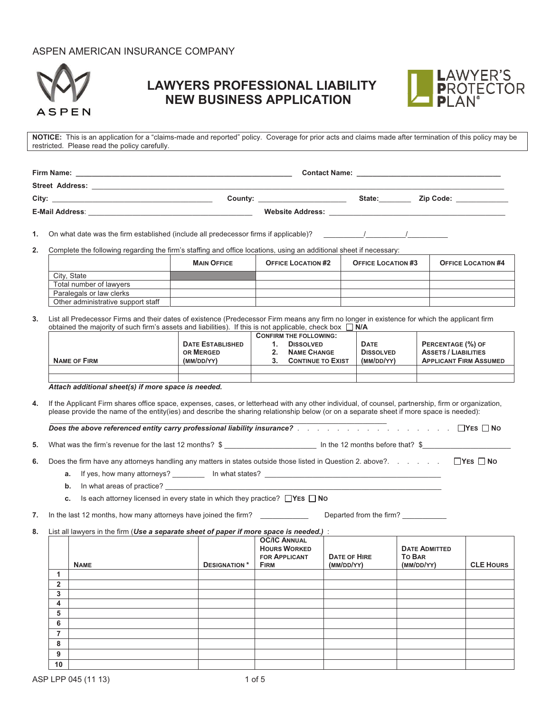# ASPEN AMERICAN INSURANCE COMPANY



# **LAWYERS PROFESSIONAL LIABILITY NEW BUSINESS APPLICATION**



**NOTICE:** This is an application for a "claims-made and reported" policy. Coverage for prior acts and claims made after termination of this policy may be restricted. Please read the policy carefully.

| <b>Firm Name:</b>      |                         | <b>Contact Name:</b> |        |                                                                                                                                                                                                                               |
|------------------------|-------------------------|----------------------|--------|-------------------------------------------------------------------------------------------------------------------------------------------------------------------------------------------------------------------------------|
| <b>Street Address:</b> |                         |                      |        |                                                                                                                                                                                                                               |
| City:                  | County:                 |                      | State: | <b>Zip Code:</b>                                                                                                                                                                                                              |
| <b>E-Mail Address:</b> | <b>Website Address:</b> |                      |        | the control of the control of the control of the control of the control of the control of the control of the control of the control of the control of the control of the control of the control of the control of the control |

**1.** On what date was the firm established (include all predecessor firms if applicable)?  $\qquad \qquad /$ 

**2.** Complete the following regarding the firm's staffing and office locations, using an additional sheet if necessary:

|                                    | <b>MAIN OFFICE</b> | <b>OFFICE LOCATION #2</b> | <b>OFFICE LOCATION #3</b> | <b>OFFICE LOCATION #4</b> |
|------------------------------------|--------------------|---------------------------|---------------------------|---------------------------|
| City, State                        |                    |                           |                           |                           |
| Total number of lawyers            |                    |                           |                           |                           |
| Paralegals or law clerks           |                    |                           |                           |                           |
| Other administrative support staff |                    |                           |                           |                           |

**3.** List all Predecessor Firms and their dates of existence (Predecessor Firm means any firm no longer in existence for which the applicant firm obtained the majority of such firm's assets and liabilities). If this is not applicable, check box  $\Box$  N/A

|                     |                         | <b>CONFIRM THE FOLLOWING:</b> |                          |                  |                               |
|---------------------|-------------------------|-------------------------------|--------------------------|------------------|-------------------------------|
|                     | <b>DATE ESTABLISHED</b> | <b>DISSOLVED</b>              |                          | <b>DATE</b>      | PERCENTAGE (%) OF             |
|                     | OR MERGED               |                               | <b>NAME CHANGE</b>       | <b>DISSOLVED</b> | <b>ASSETS / LIABILITIES</b>   |
| <b>NAME OF FIRM</b> | (MM/DD/YY)              |                               | <b>CONTINUE TO EXIST</b> | (MM/DD/YY)       | <b>APPLICANT FIRM ASSUMED</b> |
|                     |                         |                               |                          |                  |                               |
|                     |                         |                               |                          |                  |                               |

*Attach additional sheet(s) if more space is needed.*

**4.** If the Applicant Firm shares office space, expenses, cases, or letterhead with any other individual, of counsel, partnership, firm or organization, please provide the name of the entity(ies) and describe the sharing relationship below (or on a separate sheet if more space is needed):

 \_\_\_\_\_\_\_\_\_\_\_\_\_\_\_\_\_\_\_\_\_\_\_\_\_\_\_\_\_\_\_\_\_\_\_\_\_\_\_\_\_\_\_\_\_\_\_\_\_\_\_\_\_\_\_\_\_\_\_\_\_\_\_\_\_\_\_\_\_\_\_\_\_\_\_\_\_\_\_\_\_\_\_\_ *Does the above referenced entity carry professional liability insurance?* . . . . . . . . . . . . . . . . **YES NO**

**5.** What was the firm's revenue for the last 12 months? \$ \_\_\_\_\_\_\_\_\_\_\_\_\_\_\_\_\_\_\_\_\_\_\_ In the 12 months before that? \$\_\_\_\_\_\_\_\_\_\_\_\_\_\_\_\_\_\_\_\_\_\_

**6.** Does the firm have any attorneys handling any matters in states outside those listed in Question 2. above?. . . . . . **YES NO**

**a.** If yes, how many attorneys? \_\_\_\_\_\_\_\_ In what states? \_\_\_\_\_\_\_\_\_\_\_\_\_\_\_\_\_\_\_\_\_\_\_

**b.** In what areas of practice?

**c.** Is each attorney licensed in every state in which they practice? □YES □ NO

**7.** In the last 12 months, how many attorneys have joined the firm? \_\_\_\_\_\_\_\_\_\_\_\_ Departed from the firm? \_\_\_\_\_\_\_\_\_\_\_

**8.** List all lawyers in the firm (*Use a separate sheet of paper if more space is needed.)* :

|                | <b>NAME</b> | <b>DESIGNATION*</b> | <b>OC/IC ANNUAL</b><br><b>HOURS WORKED</b><br><b>FOR APPLICANT</b><br><b>FIRM</b> | <b>DATE OF HIRE</b><br>(MM/DD/YY) | <b>DATE ADMITTED</b><br><b>TO BAR</b><br>(MM/DD/YY) | <b>CLE HOURS</b> |
|----------------|-------------|---------------------|-----------------------------------------------------------------------------------|-----------------------------------|-----------------------------------------------------|------------------|
| 1              |             |                     |                                                                                   |                                   |                                                     |                  |
| $\overline{2}$ |             |                     |                                                                                   |                                   |                                                     |                  |
| 3              |             |                     |                                                                                   |                                   |                                                     |                  |
| $\overline{4}$ |             |                     |                                                                                   |                                   |                                                     |                  |
| 5              |             |                     |                                                                                   |                                   |                                                     |                  |
| 6              |             |                     |                                                                                   |                                   |                                                     |                  |
| 7              |             |                     |                                                                                   |                                   |                                                     |                  |
| 8              |             |                     |                                                                                   |                                   |                                                     |                  |
| 9              |             |                     |                                                                                   |                                   |                                                     |                  |
| 10             |             |                     |                                                                                   |                                   |                                                     |                  |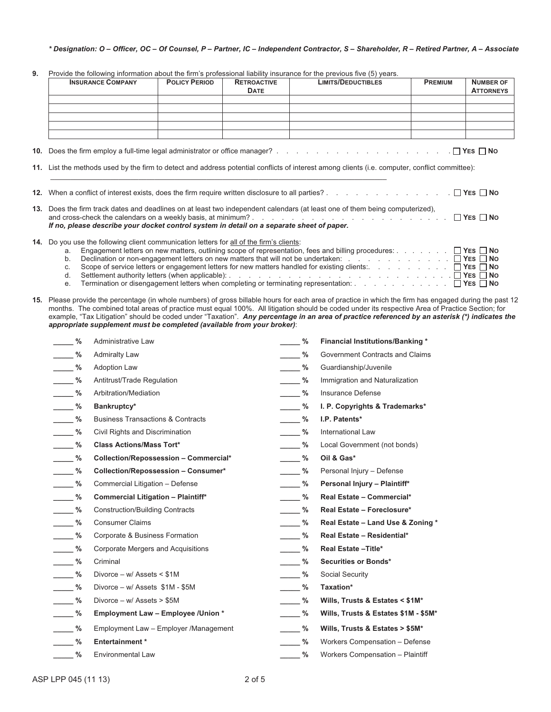### *\* Designation: O – Officer, OC – Of Counsel, P – Partner, IC – Independent Contractor, S – Shareholder, R – Retired Partner, A – Associate*

|  |  | 9. Provide the following information about the firm's professional liability insurance for the previous five (5) years. |  |  |  |
|--|--|-------------------------------------------------------------------------------------------------------------------------|--|--|--|
|--|--|-------------------------------------------------------------------------------------------------------------------------|--|--|--|

|                                    |                                              |                                                                                           |                                   |               | Provide the ionowing information about the firm's professional hability insurance for the previous live (5) years.                                                                                                                                                                                         |                |                                      |
|------------------------------------|----------------------------------------------|-------------------------------------------------------------------------------------------|-----------------------------------|---------------|------------------------------------------------------------------------------------------------------------------------------------------------------------------------------------------------------------------------------------------------------------------------------------------------------------|----------------|--------------------------------------|
|                                    | <b>INSURANCE COMPANY</b>                     | <b>POLICY PERIOD</b>                                                                      | <b>RETROACTIVE</b><br><b>DATE</b> |               | <b>LIMITS/DEDUCTIBLES</b>                                                                                                                                                                                                                                                                                  | <b>PREMIUM</b> | <b>NUMBER OF</b><br><b>ATTORNEYS</b> |
|                                    |                                              |                                                                                           |                                   |               |                                                                                                                                                                                                                                                                                                            |                |                                      |
|                                    |                                              |                                                                                           |                                   |               |                                                                                                                                                                                                                                                                                                            |                |                                      |
|                                    |                                              |                                                                                           |                                   |               |                                                                                                                                                                                                                                                                                                            |                |                                      |
|                                    |                                              |                                                                                           |                                   |               |                                                                                                                                                                                                                                                                                                            |                |                                      |
|                                    |                                              |                                                                                           |                                   |               | 11. List the methods used by the firm to detect and address potential conflicts of interest among clients (i.e. computer, conflict committee):                                                                                                                                                             |                |                                      |
|                                    |                                              |                                                                                           |                                   |               |                                                                                                                                                                                                                                                                                                            |                |                                      |
|                                    |                                              |                                                                                           |                                   |               | 13. Does the firm track dates and deadlines on at least two independent calendars (at least one of them being computerized),                                                                                                                                                                               |                |                                      |
|                                    |                                              | If no, please describe your docket control system in detail on a separate sheet of paper. |                                   |               |                                                                                                                                                                                                                                                                                                            |                |                                      |
|                                    |                                              | 14. Do you use the following client communication letters for all of the firm's clients:  |                                   |               |                                                                                                                                                                                                                                                                                                            |                |                                      |
| a.                                 |                                              |                                                                                           |                                   |               | Engagement letters on new matters, outlining scope of representation, fees and billing procedures: $\Box$ YES $\Box$ No<br>Declination or non-engagement letters on new matters that will not be undertaken: $\ldots$ , $\ldots$ , $\Box$ YES $\Box$ No                                                    |                |                                      |
| b.<br>C.                           |                                              |                                                                                           |                                   |               |                                                                                                                                                                                                                                                                                                            |                |                                      |
| d.<br>е.                           |                                              |                                                                                           |                                   |               |                                                                                                                                                                                                                                                                                                            |                |                                      |
|                                    |                                              |                                                                                           |                                   |               |                                                                                                                                                                                                                                                                                                            |                |                                      |
|                                    |                                              |                                                                                           |                                   |               | 15. Please provide the percentage (in whole numbers) of gross billable hours for each area of practice in which the firm has engaged during the past 12<br>months. The combined total areas of practice must equal 100%. All litigation should be coded under its respective Area of Practice Section; for |                |                                      |
|                                    |                                              | appropriate supplement must be completed (available from your broker):                    |                                   |               | example, "Tax Litigation" should be coded under "Taxation". Any percentage in an area of practice referenced by an asterisk (*) indicates the                                                                                                                                                              |                |                                      |
| $\frac{9}{6}$                      | Administrative Law                           |                                                                                           |                                   | $-$ %         | <b>Financial Institutions/Banking *</b>                                                                                                                                                                                                                                                                    |                |                                      |
| $\frac{9}{6}$                      | <b>Admiralty Law</b>                         |                                                                                           |                                   | $\frac{9}{6}$ | Government Contracts and Claims                                                                                                                                                                                                                                                                            |                |                                      |
| $\frac{9}{6}$                      | <b>Adoption Law</b>                          |                                                                                           |                                   | $\frac{9}{6}$ | Guardianship/Juvenile                                                                                                                                                                                                                                                                                      |                |                                      |
| $\frac{9}{6}$                      | Antitrust/Trade Regulation                   |                                                                                           |                                   | $\frac{9}{6}$ | Immigration and Naturalization                                                                                                                                                                                                                                                                             |                |                                      |
| $\frac{9}{6}$                      | Arbitration/Mediation                        |                                                                                           |                                   | $\frac{9}{6}$ | Insurance Defense                                                                                                                                                                                                                                                                                          |                |                                      |
| $\frac{9}{6}$                      | Bankruptcy*                                  |                                                                                           |                                   | $\frac{9}{6}$ | I. P. Copyrights & Trademarks*                                                                                                                                                                                                                                                                             |                |                                      |
| $\frac{9}{6}$                      | <b>Business Transactions &amp; Contracts</b> |                                                                                           |                                   | $\frac{9}{6}$ | I.P. Patents*                                                                                                                                                                                                                                                                                              |                |                                      |
| $\frac{9}{6}$                      | Civil Rights and Discrimination              |                                                                                           |                                   | $\%$          | International Law                                                                                                                                                                                                                                                                                          |                |                                      |
| $\frac{9}{6}$                      | <b>Class Actions/Mass Tort*</b>              |                                                                                           |                                   | $\%$          | Local Government (not bonds)                                                                                                                                                                                                                                                                               |                |                                      |
| $\mathcal{L}^{\text{max}}$<br>$\%$ |                                              | Collection/Repossession - Commercial*                                                     |                                   | $\frac{9}{6}$ | Oil & Gas*                                                                                                                                                                                                                                                                                                 |                |                                      |
| %                                  |                                              | Collection/Repossession - Consumer*                                                       |                                   | %             | Personal Injury - Defense                                                                                                                                                                                                                                                                                  |                |                                      |

| Commercial Litigation - Defense |
|---------------------------------|
|                                 |

- \_\_\_\_\_ % Commercial Litigation Plaintiff\* **\_\_\_\_\_\_ \_\_\_\_ \_\_\_ % Real Estate Commercial**\*
- **\_\_\_\_\_ %** Construction/Building Contracts **\_\_\_\_\_ % Real Estate Foreclosure\***
- **\_\_\_\_\_ %** Consumer Claims **\_\_\_\_\_ % Real Estate Land Use & Zoning \***
- **\_\_\_\_\_ %** Corporate & Business Formation **\_\_\_\_\_ % Real Estate Residential\***
- **\_\_\_\_\_ %** Corporate Mergers and Acquisitions **\_\_\_\_\_ % Real Estate –Title\***
- 
- **\_\_\_\_\_ %** Divorce w/ Assets < \$1M **\_\_\_\_\_ %** Social Security
- **\_\_\_\_\_ %** Divorce w/ Assets \$1M \$5M **\_\_\_\_\_ % Taxation\***
- 
- 
- **\_\_\_\_\_ %** Employment Law Employer /Management **\_\_\_\_\_ % Wills, Trusts & Estates > \$5M\***
- 
- 
- **\_\_\_\_\_ %** Criminal **\_\_\_\_\_ % Securities or Bonds\* \_\_\_\_\_ %** Divorce – w/ Assets > \$5M **\_\_\_\_\_ % Wills, Trusts & Estates < \$1M\* \_\_\_\_\_ % Employment Law – Employee /Union \* \_\_\_\_\_ % Wills, Trusts & Estates \$1M - \$5M\*** 
	- **\_\_\_\_\_ % Entertainment \* \_\_\_\_\_ %** Workers Compensation Defense
	- **\_\_\_\_\_ %** Environmental Law **\_\_\_\_\_ %** Workers Compensation Plaintiff

**2.** % Personal Injury – Plaintiff\*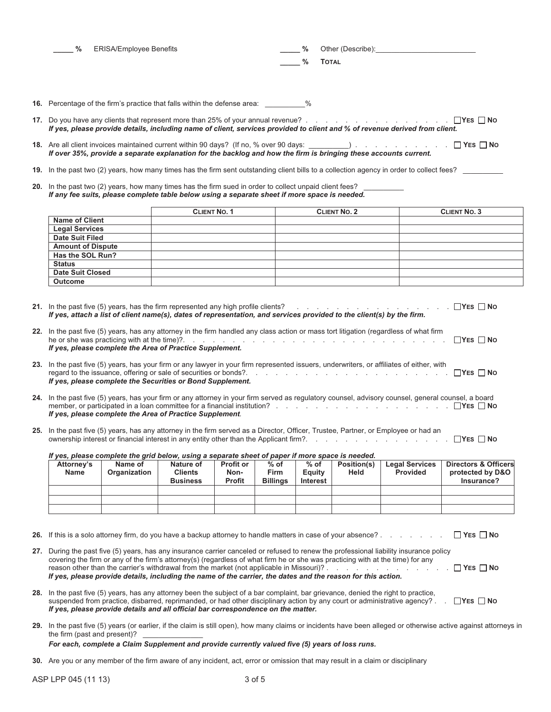| %<br>____ | ERISA/Employee Benefits | %             | Other (Describe): |
|-----------|-------------------------|---------------|-------------------|
|           |                         | $\frac{0}{0}$ | <b>TOTAL</b>      |

- **16.** Percentage of the firm's practice that falls within the defense area: \_
- **17.** Do you have any clients that represent more than 25% of your annual revenue? . . . . . . . . . . . . . . . **YES NO** *If yes, please provide details, including name of client, services provided to client and % of revenue derived from client.*
- **18.** Are all client invoices maintained current within 90 days? (If no, % over 90 days: \_\_\_\_\_\_\_\_\_\_) . . . . . . . . . . **YES NO** *If over 35%, provide a separate explanation for the backlog and how the firm is bringing these accounts current.*
- **19.** In the past two (2) years, how many times has the firm sent outstanding client bills to a collection agency in order to collect fees?
- 20. In the past two (2) years, how many times has the firm sued in order to collect unpaid client fees? *If any fee suits, please complete table below using a separate sheet if more space is needed.*

|                          | <b>CLIENT NO. 1</b> | <b>CLIENT NO. 2</b> | <b>CLIENT NO. 3</b> |
|--------------------------|---------------------|---------------------|---------------------|
| <b>Name of Client</b>    |                     |                     |                     |
| <b>Legal Services</b>    |                     |                     |                     |
| <b>Date Suit Filed</b>   |                     |                     |                     |
| <b>Amount of Dispute</b> |                     |                     |                     |
| Has the SOL Run?         |                     |                     |                     |
| <b>Status</b>            |                     |                     |                     |
| <b>Date Suit Closed</b>  |                     |                     |                     |
| <b>Outcome</b>           |                     |                     |                     |

**21.** In the past five (5) years, has the firm represented any high profile clients? . . . . . . . . . . . . . . . . **YES NO** *If yes, attach a list of client name(s), dates of representation, and services provided to the client(s) by the firm.*

| 22. In the past five (5) years, has any attorney in the firm handled any class action or mass tort litigation (regardless of what firm |  |
|----------------------------------------------------------------------------------------------------------------------------------------|--|
|                                                                                                                                        |  |
| If yes, please complete the Area of Practice Supplement.                                                                               |  |

| 23. In the past five (5) years, has your firm or any lawyer in your firm represented issuers, underwriters, or affiliates of either, with |
|-------------------------------------------------------------------------------------------------------------------------------------------|
|                                                                                                                                           |
| If yes, please complete the Securities or Bond Supplement.                                                                                |

- **24.** In the past five (5) years, has your firm or any attorney in your firm served as regulatory counsel, advisory counsel, general counsel, a board member, or participated in a loan committee for a financial institution? . . . . . . . . . . . . . . . . . . **YES NO** *If yes, please complete the Area of Practice Supplement.*
- **25.** In the past five (5) years, has any attorney in the firm served as a Director, Officer, Trustee, Partner, or Employee or had an ownership interest or financial interest in any entity other than the Applicant firm?. . . . . . . . . . . . . . . **YES NO**

|  |  |  | If yes, please complete the grid below, using a separate sheet of paper if more space is needed. |
|--|--|--|--------------------------------------------------------------------------------------------------|
|  |  |  |                                                                                                  |
|  |  |  |                                                                                                  |

| Attorney's<br><b>Name</b> | Name of<br><b>Organization</b> | Nature of<br>Clients<br><b>Business</b> | <b>Profit or</b><br>Non-<br><b>Profit</b> | $%$ of<br><b>Firm</b><br><b>Billings</b> | $%$ of<br>Equity<br><b>Interest</b> | Position(s)<br>Held | <b>Legal Services</b><br><b>Provided</b> | <b>Directors &amp; Officers</b><br>protected by D&O<br>Insurance? |
|---------------------------|--------------------------------|-----------------------------------------|-------------------------------------------|------------------------------------------|-------------------------------------|---------------------|------------------------------------------|-------------------------------------------------------------------|
|                           |                                |                                         |                                           |                                          |                                     |                     |                                          |                                                                   |
|                           |                                |                                         |                                           |                                          |                                     |                     |                                          |                                                                   |
|                           |                                |                                         |                                           |                                          |                                     |                     |                                          |                                                                   |

- **26.** If this is a solo attorney firm, do you have a backup attorney to handle matters in case of your absence? . . . . . . . **YES NO**
- **27.** During the past five (5) years, has any insurance carrier canceled or refused to renew the professional liability insurance policy covering the firm or any of the firm's attorney(s) (regardless of what firm he or she was practicing with at the time) for any reason other than the carrier's withdrawal from the market (not applicable in Missouri)? . . . . . . . . . . . . . **YES NO**  *If yes, please provide details, including the name of the carrier, the dates and the reason for this action.*
- **28.** In the past five (5) years, has any attorney been the subject of a bar complaint, bar grievance, denied the right to practice, suspended from practice, disbarred, reprimanded, or had other disciplinary action by any court or administrative agency? . . **YES NO**  *If yes, please provide details and all official bar correspondence on the matter.*
- **29.** In the past five (5) years (or earlier, if the claim is still open), how many claims or incidents have been alleged or otherwise active against attorneys in the firm (past and present)?

#### *For each, complete a Claim Supplement and provide currently valued five (5) years of loss runs.*

**30.** Are you or any member of the firm aware of any incident, act, error or omission that may result in a claim or disciplinary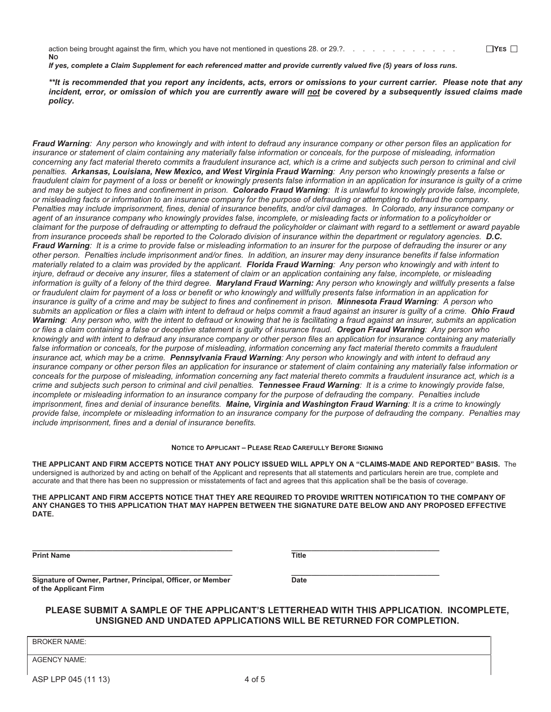action being brought against the firm, which you have not mentioned in questions 28. or 29.?. . . . . . . . . . . . . ○ **I**YES □ **NO**

*If yes, complete a Claim Supplement for each referenced matter and provide currently valued five (5) years of loss runs.* 

*\*\*It is recommended that you report any incidents, acts, errors or omissions to your current carrier. Please note that any incident, error, or omission of which you are currently aware will not be covered by a subsequently issued claims made policy.* 

*Fraud Warning: Any person who knowingly and with intent to defraud any insurance company or other person files an application for insurance or statement of claim containing any materially false information or conceals, for the purpose of misleading, information*  concerning any fact material thereto commits a fraudulent insurance act, which is a crime and subjects such person to criminal and civil *penalties. Arkansas, Louisiana, New Mexico, and West Virginia Fraud Warning: Any person who knowingly presents a false or*  fraudulent claim for payment of a loss or benefit or knowingly presents false information in an application for insurance is guilty of a crime *and may be subject to fines and confinement in prison. Colorado Fraud Warning: It is unlawful to knowingly provide false, incomplete, or misleading facts or information to an insurance company for the purpose of defrauding or attempting to defraud the company. Penalties may include imprisonment, fines, denial of insurance benefits, and/or civil damages. In Colorado, any insurance company or agent of an insurance company who knowingly provides false, incomplete, or misleading facts or information to a policyholder or claimant for the purpose of defrauding or attempting to defraud the policyholder or claimant with regard to a settlement or award payable from insurance proceeds shall be reported to the Colorado division of insurance within the department or regulatory agencies. D.C. Fraud Warning: It is a crime to provide false or misleading information to an insurer for the purpose of defrauding the insurer or any other person. Penalties include imprisonment and/or fines. In addition, an insurer may deny insurance benefits if false information materially related to a claim was provided by the applicant. Florida Fraud Warning: Any person who knowingly and with intent to injure, defraud or deceive any insurer, files a statement of claim or an application containing any false, incomplete, or misleading information is guilty of a felony of the third degree. Maryland Fraud Warning: Any person who knowingly and willfully presents a false or fraudulent claim for payment of a loss or benefit or who knowingly and willfully presents false information in an application for insurance is guilty of a crime and may be subject to fines and confinement in prison. Minnesota Fraud Warning: A person who submits an application or files a claim with intent to defraud or helps commit a fraud against an insurer is guilty of a crime. Ohio Fraud Warning: Any person who, with the intent to defraud or knowing that he is facilitating a fraud against an insurer, submits an application or files a claim containing a false or deceptive statement is guilty of insurance fraud. Oregon Fraud Warning: Any person who knowingly and with intent to defraud any insurance company or other person files an application for insurance containing any materially*  false information or conceals, for the purpose of misleading, information concerning any fact material thereto commits a fraudulent *insurance act, which may be a crime. Pennsylvania Fraud Warning: Any person who knowingly and with intent to defraud any insurance company or other person files an application for insurance or statement of claim containing any materially false information or conceals for the purpose of misleading, information concerning any fact material thereto commits a fraudulent insurance act, which is a crime and subjects such person to criminal and civil penalties. Tennessee Fraud Warning: It is a crime to knowingly provide false,*  incomplete or misleading information to an insurance company for the purpose of defrauding the company. Penalties include *imprisonment, fines and denial of insurance benefits. Maine, Virginia and Washington Fraud Warning: It is a crime to knowingly provide false, incomplete or misleading information to an insurance company for the purpose of defrauding the company. Penalties may include imprisonment, fines and a denial of insurance benefits.* 

#### **NOTICE TO APPLICANT – PLEASE READ CAREFULLY BEFORE SIGNING**

**THE APPLICANT AND FIRM ACCEPTS NOTICE THAT ANY POLICY ISSUED WILL APPLY ON A "CLAIMS-MADE AND REPORTED" BASIS.** The undersigned is authorized by and acting on behalf of the Applicant and represents that all statements and particulars herein are true, complete and accurate and that there has been no suppression or misstatements of fact and agrees that this application shall be the basis of coverage.

**THE APPLICANT AND FIRM ACCEPTS NOTICE THAT THEY ARE REQUIRED TO PROVIDE WRITTEN NOTIFICATION TO THE COMPANY OF ANY CHANGES TO THIS APPLICATION THAT MAY HAPPEN BETWEEN THE SIGNATURE DATE BELOW AND ANY PROPOSED EFFECTIVE DATE.** 

**Print Name** Title

**\_\_\_\_\_\_\_\_\_\_\_\_\_\_\_\_\_\_\_\_\_\_\_\_\_\_\_\_\_\_\_\_\_\_\_\_\_\_\_\_\_\_\_\_\_\_\_\_\_\_ \_\_\_\_\_\_\_\_\_\_\_\_\_\_\_\_\_\_\_\_\_\_\_\_\_\_\_\_\_\_\_\_\_\_\_\_\_** 

**Signature of Owner, Partner, Principal, Officer, or Member Date of the Applicant Firm** 

## **PLEASE SUBMIT A SAMPLE OF THE APPLICANT'S LETTERHEAD WITH THIS APPLICATION. INCOMPLETE, UNSIGNED AND UNDATED APPLICATIONS WILL BE RETURNED FOR COMPLETION.**

BROKER NAME:

AGENCY NAME:

**\_\_\_\_\_\_\_\_\_\_\_\_\_\_\_\_\_\_\_\_\_\_\_\_\_\_\_\_\_\_\_\_\_\_\_\_\_\_\_\_\_\_\_\_\_\_\_\_\_\_ \_\_\_\_\_\_\_\_\_\_\_\_\_\_\_\_\_\_\_\_\_\_\_\_\_\_\_\_\_\_\_\_\_\_\_\_\_**